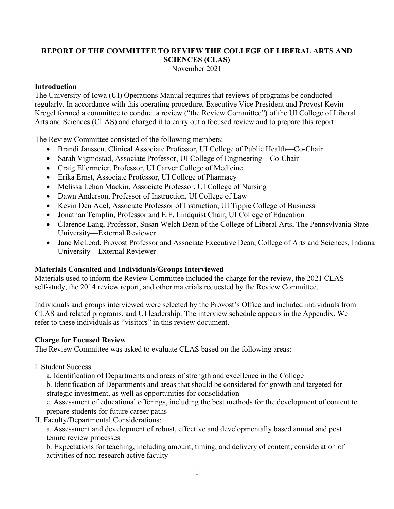### **REPORT OF THE COMMITTEE TO REVIEW THE COLLEGE OF LIBERAL ARTS AND SCIENCES (CLAS)** November 2021

### **Introduction**

The University of Iowa (UI) Operations Manual requires that reviews of programs be conducted regularly. In accordance with this operating procedure, Executive Vice President and Provost Kevin Kregel formed a committee to conduct a review ("the Review Committee") of the UI College of Liberal Arts and Sciences (CLAS) and charged it to carry out a focused review and to prepare this report.

The Review Committee consisted of the following members:

- Brandi Janssen, Clinical Associate Professor, UI College of Public Health—Co-Chair
- Sarah Vigmostad, Associate Professor, UI College of Engineering—Co-Chair
- Craig Ellermeier, Professor, UI Carver College of Medicine
- Erika Ernst, Associate Professor, UI College of Pharmacy
- Melissa Lehan Mackin, Associate Professor, UI College of Nursing
- Dawn Anderson, Professor of Instruction, UI College of Law
- Kevin Den Adel, Associate Professor of Instruction, UI Tippie College of Business
- Jonathan Templin, Professor and E.F. Lindquist Chair, UI College of Education
- Clarence Lang, Professor, Susan Welch Dean of the College of Liberal Arts, The Pennsylvania State University—External Reviewer
- Jane McLeod, Provost Professor and Associate Executive Dean, College of Arts and Sciences, Indiana University—External Reviewer

### **Materials Consulted and Individuals/Groups Interviewed**

Materials used to inform the Review Committee included the charge for the review, the 2021 CLAS self-study, the 2014 review report, and other materials requested by the Review Committee.

Individuals and groups interviewed were selected by the Provost's Office and included individuals from CLAS and related programs, and UI leadership. The interview schedule appears in the Appendix. We refer to these individuals as "visitors" in this review document.

### **Charge for Focused Review**

The Review Committee was asked to evaluate CLAS based on the following areas:

- I. Student Success:
	- a. Identification of Departments and areas of strength and excellence in the College

b. Identification of Departments and areas that should be considered for growth and targeted for strategic investment, as well as opportunities for consolidation

c. Assessment of educational offerings, including the best methods for the development of content to prepare students for future career paths

II. Faculty/Departmental Considerations:

a. Assessment and development of robust, effective and developmentally based annual and post tenure review processes

b. Expectations for teaching, including amount, timing, and delivery of content; consideration of activities of non-research active faculty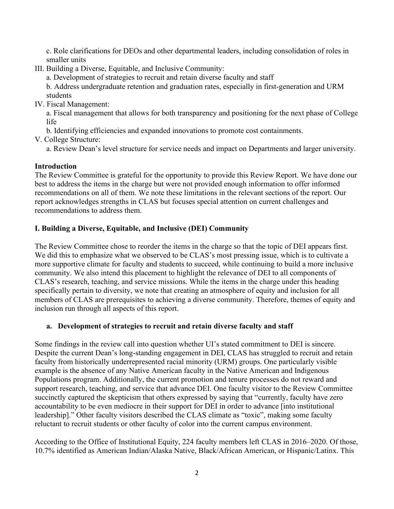c. Role clarifications for DEOs and other departmental leaders, including consolidation of roles in smaller units

III. Building a Diverse, Equitable, and Inclusive Community:

a. Development of strategies to recruit and retain diverse faculty and staff

b. Address undergraduate retention and graduation rates, especially in first-generation and URM students

IV. Fiscal Management:

a. Fiscal management that allows for both transparency and positioning for the next phase of College life

b. Identifying efficiencies and expanded innovations to promote cost containments.

V. College Structure:

a. Review Dean's level structure for service needs and impact on Departments and larger university.

# **Introduction**

The Review Committee is grateful for the opportunity to provide this Review Report. We have done our best to address the items in the charge but were not provided enough information to offer informed recommendations on all of them. We note these limitations in the relevant sections of the report. Our report acknowledges strengths in CLAS but focuses special attention on current challenges and recommendations to address them.

# **I. Building a Diverse, Equitable, and Inclusive (DEI) Community**

The Review Committee chose to reorder the items in the charge so that the topic of DEI appears first. We did this to emphasize what we observed to be CLAS's most pressing issue, which is to cultivate a more supportive climate for faculty and students to succeed, while continuing to build a more inclusive community. We also intend this placement to highlight the relevance of DEI to all components of CLAS's research, teaching, and service missions. While the items in the charge under this heading specifically pertain to diversity, we note that creating an atmosphere of equity and inclusion for all members of CLAS are prerequisites to achieving a diverse community. Therefore, themes of equity and inclusion run through all aspects of this report.

# **a. Development of strategies to recruit and retain diverse faculty and staff**

Some findings in the review call into question whether UI's stated commitment to DEI is sincere. Despite the current Dean's long-standing engagement in DEI, CLAS has struggled to recruit and retain faculty from historically underrepresented racial minority (URM) groups. One particularly visible example is the absence of any Native American faculty in the Native American and Indigenous Populations program. Additionally, the current promotion and tenure processes do not reward and support research, teaching, and service that advance DEI. One faculty visitor to the Review Committee succinctly captured the skepticism that others expressed by saying that "currently, faculty have zero accountability to be even mediocre in their support for DEI in order to advance [into institutional leadership]." Other faculty visitors described the CLAS climate as "toxic", making some faculty reluctant to recruit students or other faculty of color into the current campus environment.

According to the Office of Institutional Equity, 224 faculty members left CLAS in 2016–2020. Of those, 10.7% identified as American Indian/Alaska Native, Black/African American, or Hispanic/Latinx. This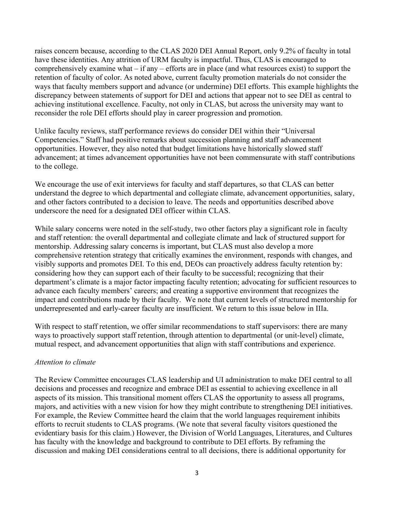raises concern because, according to the CLAS 2020 DEI Annual Report, only 9.2% of faculty in total have these identities. Any attrition of URM faculty is impactful. Thus, CLAS is encouraged to comprehensively examine what – if any – efforts are in place (and what resources exist) to support the retention of faculty of color. As noted above, current faculty promotion materials do not consider the ways that faculty members support and advance (or undermine) DEI efforts. This example highlights the discrepancy between statements of support for DEI and actions that appear not to see DEI as central to achieving institutional excellence. Faculty, not only in CLAS, but across the university may want to reconsider the role DEI efforts should play in career progression and promotion.

Unlike faculty reviews, staff performance reviews do consider DEI within their "Universal Competencies." Staff had positive remarks about succession planning and staff advancement opportunities. However, they also noted that budget limitations have historically slowed staff advancement; at times advancement opportunities have not been commensurate with staff contributions to the college.

We encourage the use of exit interviews for faculty and staff departures, so that CLAS can better understand the degree to which departmental and collegiate climate, advancement opportunities, salary, and other factors contributed to a decision to leave. The needs and opportunities described above underscore the need for a designated DEI officer within CLAS.

While salary concerns were noted in the self-study, two other factors play a significant role in faculty and staff retention: the overall departmental and collegiate climate and lack of structured support for mentorship. Addressing salary concerns is important, but CLAS must also develop a more comprehensive retention strategy that critically examines the environment, responds with changes, and visibly supports and promotes DEI. To this end, DEOs can proactively address faculty retention by: considering how they can support each of their faculty to be successful; recognizing that their department's climate is a major factor impacting faculty retention; advocating for sufficient resources to advance each faculty members' careers; and creating a supportive environment that recognizes the impact and contributions made by their faculty. We note that current levels of structured mentorship for underrepresented and early-career faculty are insufficient. We return to this issue below in IIIa.

With respect to staff retention, we offer similar recommendations to staff supervisors: there are many ways to proactively support staff retention, through attention to departmental (or unit-level) climate, mutual respect, and advancement opportunities that align with staff contributions and experience.

### *Attention to climate*

The Review Committee encourages CLAS leadership and UI administration to make DEI central to all decisions and processes and recognize and embrace DEI as essential to achieving excellence in all aspects of its mission. This transitional moment offers CLAS the opportunity to assess all programs, majors, and activities with a new vision for how they might contribute to strengthening DEI initiatives. For example, the Review Committee heard the claim that the world languages requirement inhibits efforts to recruit students to CLAS programs. (We note that several faculty visitors questioned the evidentiary basis for this claim.) However, the Division of World Languages, Literatures, and Cultures has faculty with the knowledge and background to contribute to DEI efforts. By reframing the discussion and making DEI considerations central to all decisions, there is additional opportunity for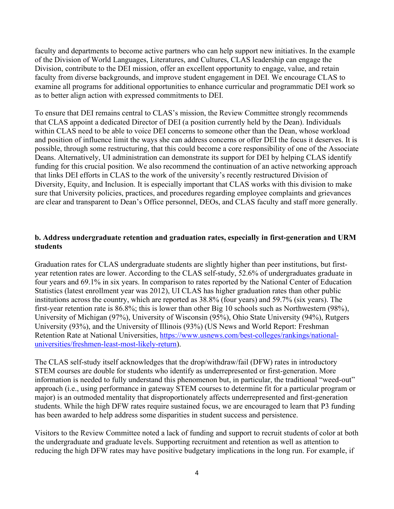faculty and departments to become active partners who can help support new initiatives. In the example of the Division of World Languages, Literatures, and Cultures, CLAS leadership can engage the Division, contribute to the DEI mission, offer an excellent opportunity to engage, value, and retain faculty from diverse backgrounds, and improve student engagement in DEI. We encourage CLAS to examine all programs for additional opportunities to enhance curricular and programmatic DEI work so as to better align action with expressed commitments to DEI.

To ensure that DEI remains central to CLAS's mission, the Review Committee strongly recommends that CLAS appoint a dedicated Director of DEI (a position currently held by the Dean). Individuals within CLAS need to be able to voice DEI concerns to someone other than the Dean, whose workload and position of influence limit the ways she can address concerns or offer DEI the focus it deserves. It is possible, through some restructuring, that this could become a core responsibility of one of the Associate Deans. Alternatively, UI administration can demonstrate its support for DEI by helping CLAS identify funding for this crucial position. We also recommend the continuation of an active networking approach that links DEI efforts in CLAS to the work of the university's recently restructured Division of Diversity, Equity, and Inclusion. It is especially important that CLAS works with this division to make sure that University policies, practices, and procedures regarding employee complaints and grievances are clear and transparent to Dean's Office personnel, DEOs, and CLAS faculty and staff more generally.

### **b. Address undergraduate retention and graduation rates, especially in first-generation and URM students**

Graduation rates for CLAS undergraduate students are slightly higher than peer institutions, but firstyear retention rates are lower. According to the CLAS self-study, 52.6% of undergraduates graduate in four years and 69.1% in six years. In comparison to rates reported by the National Center of Education Statistics (latest enrollment year was 2012), UI CLAS has higher graduation rates than other public institutions across the country, which are reported as 38.8% (four years) and 59.7% (six years). The first-year retention rate is 86.8%; this is lower than other Big 10 schools such as Northwestern (98%), University of Michigan (97%), University of Wisconsin (95%), Ohio State University (94%), Rutgers University (93%), and the University of Illinois (93%) (US News and World Report: Freshman Retention Rate at National Universities, [https://www.usnews.com/best-colleges/rankings/national](https://www.usnews.com/best-colleges/rankings/national-universities/freshmen-least-most-likely-return)[universities/freshmen-least-most-likely-return\)](https://www.usnews.com/best-colleges/rankings/national-universities/freshmen-least-most-likely-return).

The CLAS self-study itself acknowledges that the drop/withdraw/fail (DFW) rates in introductory STEM courses are double for students who identify as underrepresented or first-generation. More information is needed to fully understand this phenomenon but, in particular, the traditional "weed-out" approach (i.e., using performance in gateway STEM courses to determine fit for a particular program or major) is an outmoded mentality that disproportionately affects underrepresented and first-generation students. While the high DFW rates require sustained focus, we are encouraged to learn that P3 funding has been awarded to help address some disparities in student success and persistence.

Visitors to the Review Committee noted a lack of funding and support to recruit students of color at both the undergraduate and graduate levels. Supporting recruitment and retention as well as attention to reducing the high DFW rates may have positive budgetary implications in the long run. For example, if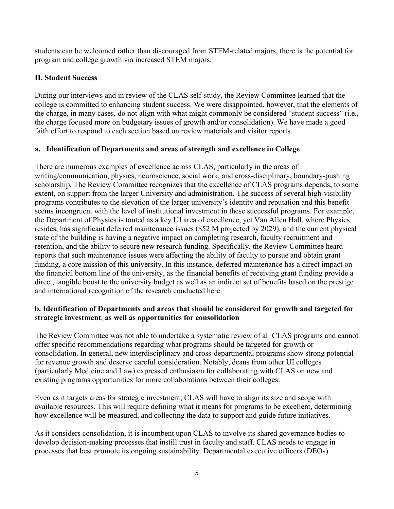students can be welcomed rather than discouraged from STEM-related majors, there is the potential for program and college growth via increased STEM majors.

# **II. Student Success**

During our interviews and in review of the CLAS self-study, the Review Committee learned that the college is committed to enhancing student success. We were disappointed, however, that the elements of the charge, in many cases, do not align with what might commonly be considered "student success" (i.e., the charge focused more on budgetary issues of growth and/or consolidation). We have made a good faith effort to respond to each section based on review materials and visitor reports.

# **a. Identification of Departments and areas of strength and excellence in College**

There are numerous examples of excellence across CLAS, particularly in the areas of writing/communication, physics, neuroscience, social work, and cross-disciplinary, boundary-pushing scholarship. The Review Committee recognizes that the excellence of CLAS programs depends, to some extent, on support from the larger University and administration. The success of several high-visibility programs contributes to the elevation of the larger university's identity and reputation and this benefit seems incongruent with the level of institutional investment in these successful programs. For example, the Department of Physics is touted as a key UI area of excellence, yet Van Allen Hall, where Physics resides, has significant deferred maintenance issues (\$52 M projected by 2029), and the current physical state of the building is having a negative impact on completing research, faculty recruitment and retention, and the ability to secure new research funding. Specifically, the Review Committee heard reports that such maintenance issues were affecting the ability of faculty to pursue and obtain grant funding, a core mission of this university. In this instance, deferred maintenance has a direct impact on the financial bottom line of the university, as the financial benefits of receiving grant funding provide a direct, tangible boost to the university budget as well as an indirect set of benefits based on the prestige and international recognition of the research conducted here.

# **b. Identification of Departments and areas that should be considered for growth and targeted for strategic investment**, **as well as opportunities for consolidation**

The Review Committee was not able to undertake a systematic review of all CLAS programs and cannot offer specific recommendations regarding what programs should be targeted for growth or consolidation. In general, new interdisciplinary and cross-departmental programs show strong potential for revenue growth and deserve careful consideration. Notably, deans from other UI colleges (particularly Medicine and Law) expressed enthusiasm for collaborating with CLAS on new and existing programs opportunities for more collaborations between their colleges.

Even as it targets areas for strategic investment, CLAS will have to align its size and scope with available resources. This will require defining what it means for programs to be excellent, determining how excellence will be measured, and collecting the data to support and guide future initiatives.

As it considers consolidation, it is incumbent upon CLAS to involve its shared governance bodies to develop decision-making processes that instill trust in faculty and staff. CLAS needs to engage in processes that best promote its ongoing sustainability. Departmental executive officers (DEOs)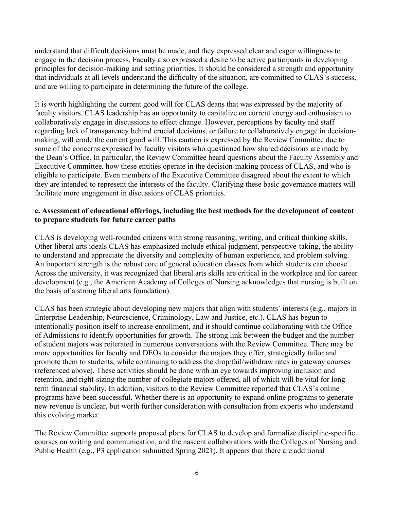understand that difficult decisions must be made, and they expressed clear and eager willingness to engage in the decision process. Faculty also expressed a desire to be active participants in developing principles for decision-making and setting priorities. It should be considered a strength and opportunity that individuals at all levels understand the difficulty of the situation, are committed to CLAS's success, and are willing to participate in determining the future of the college.

It is worth highlighting the current good will for CLAS deans that was expressed by the majority of faculty visitors. CLAS leadership has an opportunity to capitalize on current energy and enthusiasm to collaboratively engage in discussions to effect change. However, perceptions by faculty and staff regarding lack of transparency behind crucial decisions, or failure to collaboratively engage in decisionmaking, will erode the current good will. This caution is expressed by the Review Committee due to some of the concerns expressed by faculty visitors who questioned how shared decisions are made by the Dean's Office. In particular, the Review Committee heard questions about the Faculty Assembly and Executive Committee, how these entities operate in the decision-making process of CLAS, and who is eligible to participate. Even members of the Executive Committee disagreed about the extent to which they are intended to represent the interests of the faculty. Clarifying these basic governance matters will facilitate more engagement in discussions of CLAS priorities.

### **c. Assessment of educational offerings, including the best methods for the development of content to prepare students for future career paths**

CLAS is developing well-rounded citizens with strong reasoning, writing, and critical thinking skills. Other liberal arts ideals CLAS has emphasized include ethical judgment, perspective-taking, the ability to understand and appreciate the diversity and complexity of human experience, and problem solving. An important strength is the robust core of general education classes from which students can choose. Across the university, it was recognized that liberal arts skills are critical in the workplace and for career development (e.g., the American Academy of Colleges of Nursing acknowledges that nursing is built on the basis of a strong liberal arts foundation).

CLAS has been strategic about developing new majors that align with students' interests (e.g., majors in Enterprise Leadership, Neuroscience, Criminology, Law and Justice, etc.). CLAS has begun to intentionally position itself to increase enrollment, and it should continue collaborating with the Office of Admissions to identify opportunities for growth. The strong link between the budget and the number of student majors was reiterated in numerous conversations with the Review Committee. There may be more opportunities for faculty and DEOs to consider the majors they offer, strategically tailor and promote them to students, while continuing to address the drop/fail/withdraw rates in gateway courses (referenced above). These activities should be done with an eye towards improving inclusion and retention, and right-sizing the number of collegiate majors offered, all of which will be vital for longterm financial stability. In addition, visitors to the Review Committee reported that CLAS's online programs have been successful. Whether there is an opportunity to expand online programs to generate new revenue is unclear, but worth further consideration with consultation from experts who understand this evolving market.

The Review Committee supports proposed plans for CLAS to develop and formalize discipline-specific courses on writing and communication, and the nascent collaborations with the Colleges of Nursing and Public Health (e.g., P3 application submitted Spring 2021). It appears that there are additional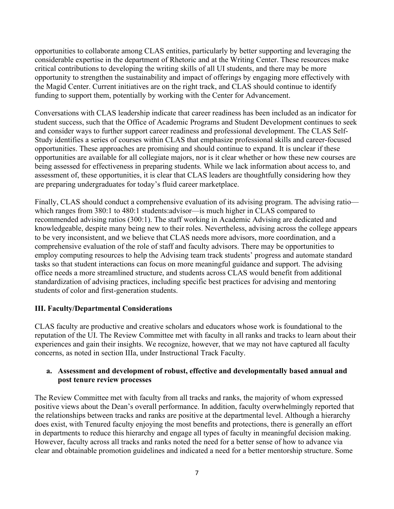opportunities to collaborate among CLAS entities, particularly by better supporting and leveraging the considerable expertise in the department of Rhetoric and at the Writing Center. These resources make critical contributions to developing the writing skills of all UI students, and there may be more opportunity to strengthen the sustainability and impact of offerings by engaging more effectively with the Magid Center. Current initiatives are on the right track, and CLAS should continue to identify funding to support them, potentially by working with the Center for Advancement.

Conversations with CLAS leadership indicate that career readiness has been included as an indicator for student success, such that the Office of Academic Programs and Student Development continues to seek and consider ways to further support career readiness and professional development. The CLAS Self-Study identifies a series of courses within CLAS that emphasize professional skills and career-focused opportunities. These approaches are promising and should continue to expand. It is unclear if these opportunities are available for all collegiate majors, nor is it clear whether or how these new courses are being assessed for effectiveness in preparing students. While we lack information about access to, and assessment of, these opportunities, it is clear that CLAS leaders are thoughtfully considering how they are preparing undergraduates for today's fluid career marketplace.

Finally, CLAS should conduct a comprehensive evaluation of its advising program. The advising ratio which ranges from 380:1 to 480:1 students:advisor—is much higher in CLAS compared to recommended advising ratios (300:1). The staff working in Academic Advising are dedicated and knowledgeable, despite many being new to their roles. Nevertheless, advising across the college appears to be very inconsistent, and we believe that CLAS needs more advisors, more coordination, and a comprehensive evaluation of the role of staff and faculty advisors. There may be opportunities to employ computing resources to help the Advising team track students' progress and automate standard tasks so that student interactions can focus on more meaningful guidance and support. The advising office needs a more streamlined structure, and students across CLAS would benefit from additional standardization of advising practices, including specific best practices for advising and mentoring students of color and first-generation students.

# **III. Faculty/Departmental Considerations**

CLAS faculty are productive and creative scholars and educators whose work is foundational to the reputation of the UI. The Review Committee met with faculty in all ranks and tracks to learn about their experiences and gain their insights. We recognize, however, that we may not have captured all faculty concerns, as noted in section IIIa, under Instructional Track Faculty.

### **a. Assessment and development of robust, effective and developmentally based annual and post tenure review processes**

The Review Committee met with faculty from all tracks and ranks, the majority of whom expressed positive views about the Dean's overall performance. In addition, faculty overwhelmingly reported that the relationships between tracks and ranks are positive at the departmental level. Although a hierarchy does exist, with Tenured faculty enjoying the most benefits and protections, there is generally an effort in departments to reduce this hierarchy and engage all types of faculty in meaningful decision making. However, faculty across all tracks and ranks noted the need for a better sense of how to advance via clear and obtainable promotion guidelines and indicated a need for a better mentorship structure. Some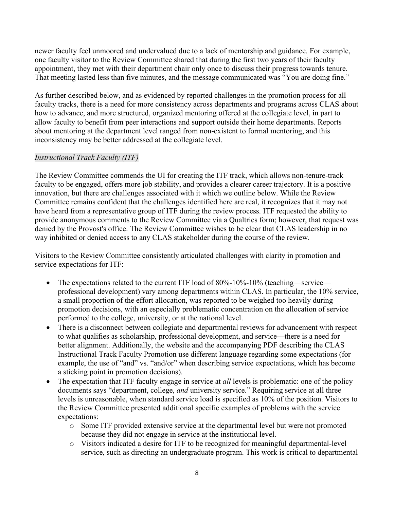newer faculty feel unmoored and undervalued due to a lack of mentorship and guidance. For example, one faculty visitor to the Review Committee shared that during the first two years of their faculty appointment, they met with their department chair only once to discuss their progress towards tenure. That meeting lasted less than five minutes, and the message communicated was "You are doing fine."

As further described below, and as evidenced by reported challenges in the promotion process for all faculty tracks, there is a need for more consistency across departments and programs across CLAS about how to advance, and more structured, organized mentoring offered at the collegiate level, in part to allow faculty to benefit from peer interactions and support outside their home departments. Reports about mentoring at the department level ranged from non-existent to formal mentoring, and this inconsistency may be better addressed at the collegiate level.

# *Instructional Track Faculty (ITF)*

The Review Committee commends the UI for creating the ITF track, which allows non-tenure-track faculty to be engaged, offers more job stability, and provides a clearer career trajectory. It is a positive innovation, but there are challenges associated with it which we outline below. While the Review Committee remains confident that the challenges identified here are real, it recognizes that it may not have heard from a representative group of ITF during the review process. ITF requested the ability to provide anonymous comments to the Review Committee via a Qualtrics form; however, that request was denied by the Provost's office. The Review Committee wishes to be clear that CLAS leadership in no way inhibited or denied access to any CLAS stakeholder during the course of the review.

Visitors to the Review Committee consistently articulated challenges with clarity in promotion and service expectations for ITF:

- The expectations related to the current ITF load of 80%-10%-10% (teaching—service professional development) vary among departments within CLAS. In particular, the 10% service, a small proportion of the effort allocation, was reported to be weighed too heavily during promotion decisions, with an especially problematic concentration on the allocation of service performed to the college, university, or at the national level.
- There is a disconnect between collegiate and departmental reviews for advancement with respect to what qualifies as scholarship, professional development, and service—there is a need for better alignment. Additionally, the [website](https://clas.uiowa.edu/faculty/faculty-appointments-review-clasui-procedures-instructional-track-promotion) and the [accompanying PDF](https://clas.uiowa.edu/sites/default/files/CLAS%20Instructional%20Faculty%20Policy(7).pdf) describing the CLAS Instructional Track Faculty Promotion use different language regarding some expectations (for example, the use of "and" vs. "and/or" when describing service expectations, which has become a sticking point in promotion decisions).
- The expectation that ITF faculty engage in service at *all* levels is problematic: one of the policy documents says "department, college, *and* university service." Requiring service at all three levels is unreasonable, when standard service load is specified as 10% of the position. Visitors to the Review Committee presented additional specific examples of problems with the service expectations:
	- o Some ITF provided extensive service at the departmental level but were not promoted because they did not engage in service at the institutional level.
	- o Visitors indicated a desire for ITF to be recognized for meaningful departmental-level service, such as directing an undergraduate program. This work is critical to departmental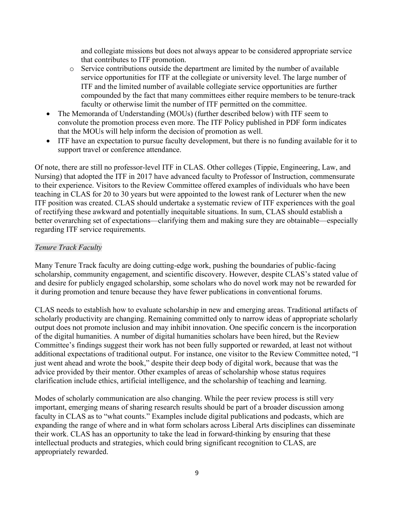and collegiate missions but does not always appear to be considered appropriate service that contributes to ITF promotion.

- o Service contributions outside the department are limited by the number of available service opportunities for ITF at the collegiate or university level. The large number of ITF and the limited number of available collegiate service opportunities are further compounded by the fact that many committees either require members to be tenure-track faculty or otherwise limit the number of ITF permitted on the committee.
- The Memoranda of Understanding (MOUs) (further described below) with ITF seem to convolute the promotion process even more. The ITF Policy published in PDF form indicates that the MOUs will help inform the decision of promotion as well.
- ITF have an expectation to pursue faculty development, but there is no funding available for it to support travel or conference attendance.

Of note, there are still no professor-level ITF in CLAS. Other colleges (Tippie, Engineering, Law, and Nursing) that adopted the ITF in 2017 have advanced faculty to Professor of Instruction, commensurate to their experience. Visitors to the Review Committee offered examples of individuals who have been teaching in CLAS for 20 to 30 years but were appointed to the lowest rank of Lecturer when the new ITF position was created. CLAS should undertake a systematic review of ITF experiences with the goal of rectifying these awkward and potentially inequitable situations. In sum, CLAS should establish a better overarching set of expectations—clarifying them and making sure they are obtainable—especially regarding ITF service requirements.

# *Tenure Track Faculty*

Many Tenure Track faculty are doing cutting-edge work, pushing the boundaries of public-facing scholarship, community engagement, and scientific discovery. However, despite CLAS's stated value of and desire for publicly engaged scholarship, some scholars who do novel work may not be rewarded for it during promotion and tenure because they have fewer publications in conventional forums.

CLAS needs to establish how to evaluate scholarship in new and emerging areas. Traditional artifacts of scholarly productivity are changing. Remaining committed only to narrow ideas of appropriate scholarly output does not promote inclusion and may inhibit innovation. One specific concern is the incorporation of the digital humanities. A number of digital humanities scholars have been hired, but the Review Committee's findings suggest their work has not been fully supported or rewarded, at least not without additional expectations of traditional output. For instance, one visitor to the Review Committee noted, "I just went ahead and wrote the book," despite their deep body of digital work, because that was the advice provided by their mentor. Other examples of areas of scholarship whose status requires clarification include ethics, artificial intelligence, and the scholarship of teaching and learning.

Modes of scholarly communication are also changing. While the peer review process is still very important, emerging means of sharing research results should be part of a broader discussion among faculty in CLAS as to "what counts." Examples include digital publications and podcasts, which are expanding the range of where and in what form scholars across Liberal Arts disciplines can disseminate their work. CLAS has an opportunity to take the lead in forward-thinking by ensuring that these intellectual products and strategies, which could bring significant recognition to CLAS, are appropriately rewarded.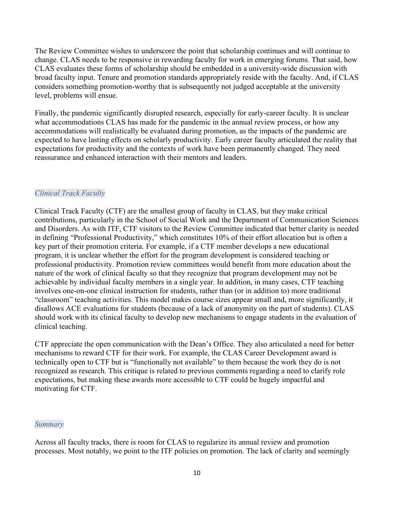The Review Committee wishes to underscore the point that scholarship continues and will continue to change. CLAS needs to be responsive in rewarding faculty for work in emerging forums. That said, how CLAS evaluates these forms of scholarship should be embedded in a university-wide discussion with broad faculty input. Tenure and promotion standards appropriately reside with the faculty. And, if CLAS considers something promotion-worthy that is subsequently not judged acceptable at the university level, problems will ensue.

Finally, the pandemic significantly disrupted research, especially for early-career faculty. It is unclear what accommodations CLAS has made for the pandemic in the annual review process, or how any accommodations will realistically be evaluated during promotion, as the impacts of the pandemic are expected to have lasting effects on scholarly productivity. Early career faculty articulated the reality that expectations for productivity and the contexts of work have been permanently changed. They need reassurance and enhanced interaction with their mentors and leaders.

### *Clinical Track Faculty*

Clinical Track Faculty (CTF) are the smallest group of faculty in CLAS, but they make critical contributions, particularly in the School of Social Work and the Department of Communication Sciences and Disorders. As with ITF, CTF visitors to the Review Committee indicated that better clarity is needed in defining "Professional Productivity," which constitutes 10% of their effort allocation but is often a key part of their promotion criteria. For example, if a CTF member develops a new educational program, it is unclear whether the effort for the program development is considered teaching or professional productivity. Promotion review committees would benefit from more education about the nature of the work of clinical faculty so that they recognize that program development may not be achievable by individual faculty members in a single year. In addition, in many cases, CTF teaching involves one-on-one clinical instruction for students, rather than (or in addition to) more traditional "classroom" teaching activities. This model makes course sizes appear small and, more significantly, it disallows ACE evaluations for students (because of a lack of anonymity on the part of students). CLAS should work with its clinical faculty to develop new mechanisms to engage students in the evaluation of clinical teaching.

CTF appreciate the open communication with the Dean's Office. They also articulated a need for better mechanisms to reward CTF for their work. For example, the CLAS Career Development award is technically open to CTF but is "functionally not available" to them because the work they do is not recognized as research. This critique is related to previous comments regarding a need to clarify role expectations, but making these awards more accessible to CTF could be hugely impactful and motivating for CTF.

#### *Summary*

Across all faculty tracks, there is room for CLAS to regularize its annual review and promotion processes. Most notably, we point to the ITF policies on promotion. The lack of clarity and seemingly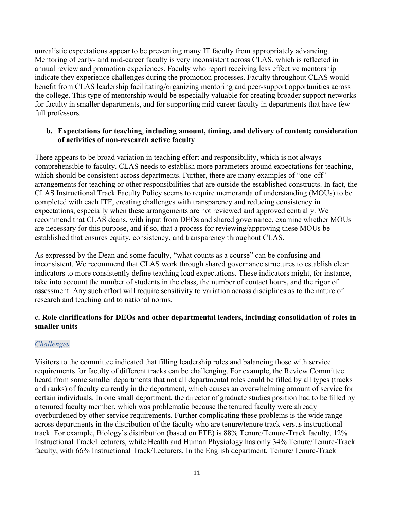unrealistic expectations appear to be preventing many IT faculty from appropriately advancing. Mentoring of early- and mid-career faculty is very inconsistent across CLAS, which is reflected in annual review and promotion experiences. Faculty who report receiving less effective mentorship indicate they experience challenges during the promotion processes. Faculty throughout CLAS would benefit from CLAS leadership facilitating/organizing mentoring and peer-support opportunities across the college. This type of mentorship would be especially valuable for creating broader support networks for faculty in smaller departments, and for supporting mid-career faculty in departments that have few full professors.

### **b. Expectations for teaching**, **including amount, timing, and delivery of content; consideration of activities of non-research active faculty**

There appears to be broad variation in teaching effort and responsibility, which is not always comprehensible to faculty. CLAS needs to establish more parameters around expectations for teaching, which should be consistent across departments. Further, there are many examples of "one-off" arrangements for teaching or other responsibilities that are outside the established constructs. In fact, the CLAS Instructional Track Faculty Policy seems to require memoranda of understanding (MOUs) to be completed with each ITF, creating challenges with transparency and reducing consistency in expectations, especially when these arrangements are not reviewed and approved centrally. We recommend that CLAS deans, with input from DEOs and shared governance, examine whether MOUs are necessary for this purpose, and if so, that a process for reviewing/approving these MOUs be established that ensures equity, consistency, and transparency throughout CLAS.

As expressed by the Dean and some faculty, "what counts as a course" can be confusing and inconsistent. We recommend that CLAS work through shared governance structures to establish clear indicators to more consistently define teaching load expectations. These indicators might, for instance, take into account the number of students in the class, the number of contact hours, and the rigor of assessment. Any such effort will require sensitivity to variation across disciplines as to the nature of research and teaching and to national norms.

### **c. Role clarifications for DEOs and other departmental leaders, including consolidation of roles in smaller units**

# *Challenges*

Visitors to the committee indicated that filling leadership roles and balancing those with service requirements for faculty of different tracks can be challenging. For example, the Review Committee heard from some smaller departments that not all departmental roles could be filled by all types (tracks and ranks) of faculty currently in the department, which causes an overwhelming amount of service for certain individuals. In one small department, the director of graduate studies position had to be filled by a tenured faculty member, which was problematic because the tenured faculty were already overburdened by other service requirements. Further complicating these problems is the wide range across departments in the distribution of the faculty who are tenure/tenure track versus instructional track. For example, Biology's distribution (based on FTE) is 88% Tenure/Tenure-Track faculty, 12% Instructional Track/Lecturers, while Health and Human Physiology has only 34% Tenure/Tenure-Track faculty, with 66% Instructional Track/Lecturers. In the English department, Tenure/Tenure-Track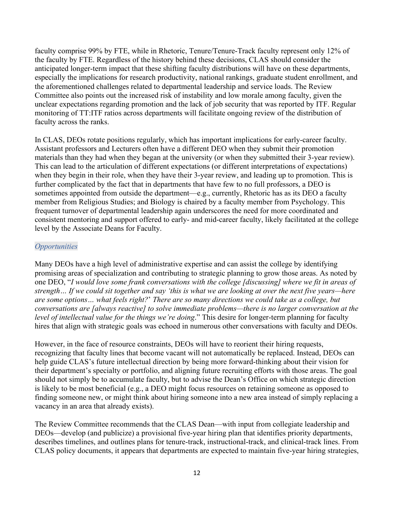faculty comprise 99% by FTE, while in Rhetoric, Tenure/Tenure-Track faculty represent only 12% of the faculty by FTE. Regardless of the history behind these decisions, CLAS should consider the anticipated longer-term impact that these shifting faculty distributions will have on these departments, especially the implications for research productivity, national rankings, graduate student enrollment, and the aforementioned challenges related to departmental leadership and service loads. The Review Committee also points out the increased risk of instability and low morale among faculty, given the unclear expectations regarding promotion and the lack of job security that was reported by ITF. Regular monitoring of TT:ITF ratios across departments will facilitate ongoing review of the distribution of faculty across the ranks.

In CLAS, DEOs rotate positions regularly, which has important implications for early-career faculty. Assistant professors and Lecturers often have a different DEO when they submit their promotion materials than they had when they began at the university (or when they submitted their 3-year review). This can lead to the articulation of different expectations (or different interpretations of expectations) when they begin in their role, when they have their 3-year review, and leading up to promotion. This is further complicated by the fact that in departments that have few to no full professors, a DEO is sometimes appointed from outside the department—e.g., currently, Rhetoric has as its DEO a faculty member from Religious Studies; and Biology is chaired by a faculty member from Psychology. This frequent turnover of departmental leadership again underscores the need for more coordinated and consistent mentoring and support offered to early- and mid-career faculty, likely facilitated at the college level by the Associate Deans for Faculty.

### *Opportunities*

Many DEOs have a high level of administrative expertise and can assist the college by identifying promising areas of specialization and contributing to strategic planning to grow those areas. As noted by one DEO, "*I would love some frank conversations with the college [discussing] where we fit in areas of strength… If we could sit together and say 'this is what we are looking at over the next five years—here are some options… what feels right?*' *There are so many directions we could take as a college, but conversations are [always reactive] to solve immediate problems—there is no larger conversation at the level of intellectual value for the things we're doing*." This desire for longer-term planning for faculty hires that align with strategic goals was echoed in numerous other conversations with faculty and DEOs.

However, in the face of resource constraints, DEOs will have to reorient their hiring requests, recognizing that faculty lines that become vacant will not automatically be replaced. Instead, DEOs can help guide CLAS's future intellectual direction by being more forward-thinking about their vision for their department's specialty or portfolio, and aligning future recruiting efforts with those areas. The goal should not simply be to accumulate faculty, but to advise the Dean's Office on which strategic direction is likely to be most beneficial (e.g., a DEO might focus resources on retaining someone as opposed to finding someone new, or might think about hiring someone into a new area instead of simply replacing a vacancy in an area that already exists).

The Review Committee recommends that the CLAS Dean—with input from collegiate leadership and DEOs—develop (and publicize) a provisional five-year hiring plan that identifies priority departments, describes timelines, and outlines plans for tenure-track, instructional-track, and clinical-track lines. From CLAS policy documents, it appears that departments are expected to maintain five-year hiring strategies,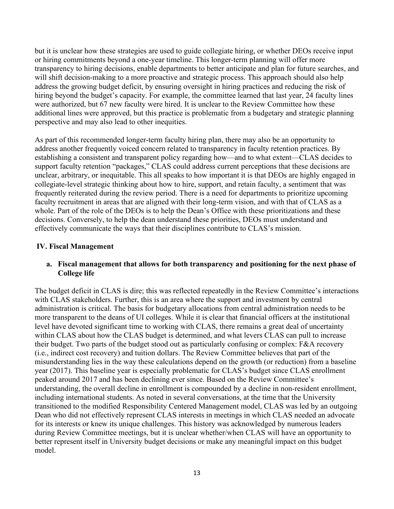but it is unclear how these strategies are used to guide collegiate hiring, or whether DEOs receive input or hiring commitments beyond a one-year timeline. This longer-term planning will offer more transparency to hiring decisions, enable departments to better anticipate and plan for future searches, and will shift decision-making to a more proactive and strategic process. This approach should also help address the growing budget deficit, by ensuring oversight in hiring practices and reducing the risk of hiring beyond the budget's capacity. For example, the committee learned that last year, 24 faculty lines were authorized, but 67 new faculty were hired. It is unclear to the Review Committee how these additional lines were approved, but this practice is problematic from a budgetary and strategic planning perspective and may also lead to other inequities.

As part of this recommended longer-term faculty hiring plan, there may also be an opportunity to address another frequently voiced concern related to transparency in faculty retention practices. By establishing a consistent and transparent policy regarding how—and to what extent—CLAS decides to support faculty retention "packages," CLAS could address current perceptions that these decisions are unclear, arbitrary, or inequitable. This all speaks to how important it is that DEOs are highly engaged in collegiate-level strategic thinking about how to hire, support, and retain faculty, a sentiment that was frequently reiterated during the review period. There is a need for departments to prioritize upcoming faculty recruitment in areas that are aligned with their long-term vision, and with that of CLAS as a whole. Part of the role of the DEOs is to help the Dean's Office with these prioritizations and these decisions. Conversely, to help the dean understand these priorities, DEOs must understand and effectively communicate the ways that their disciplines contribute to CLAS's mission.

### **IV. Fiscal Management**

### **a. Fiscal management that allows for both transparency and positioning for the next phase of College life**

The budget deficit in CLAS is dire; this was reflected repeatedly in the Review Committee's interactions with CLAS stakeholders. Further, this is an area where the support and investment by central administration is critical. The basis for budgetary allocations from central administration needs to be more transparent to the deans of UI colleges. While it is clear that financial officers at the institutional level have devoted significant time to working with CLAS, there remains a great deal of uncertainty within CLAS about how the CLAS budget is determined, and what levers CLAS can pull to increase their budget. Two parts of the budget stood out as particularly confusing or complex: F&A recovery (i.e., indirect cost recovery) and tuition dollars. The Review Committee believes that part of the misunderstanding lies in the way these calculations depend on the growth (or reduction) from a baseline year (2017). This baseline year is especially problematic for CLAS's budget since CLAS enrollment peaked around 2017 and has been declining ever since. Based on the Review Committee's understanding, the overall decline in enrollment is compounded by a decline in non-resident enrollment, including international students. As noted in several conversations, at the time that the University transitioned to the modified Responsibility Centered Management model, CLAS was led by an outgoing Dean who did not effectively represent CLAS interests in meetings in which CLAS needed an advocate for its interests or knew its unique challenges. This history was acknowledged by numerous leaders during Review Committee meetings, but it is unclear whether/when CLAS will have an opportunity to better represent itself in University budget decisions or make any meaningful impact on this budget model.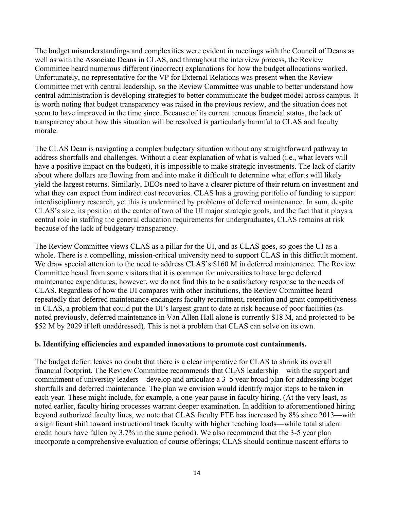The budget misunderstandings and complexities were evident in meetings with the Council of Deans as well as with the Associate Deans in CLAS, and throughout the interview process, the Review Committee heard numerous different (incorrect) explanations for how the budget allocations worked. Unfortunately, no representative for the VP for External Relations was present when the Review Committee met with central leadership, so the Review Committee was unable to better understand how central administration is developing strategies to better communicate the budget model across campus. It is worth noting that budget transparency was raised in the previous review, and the situation does not seem to have improved in the time since. Because of its current tenuous financial status, the lack of transparency about how this situation will be resolved is particularly harmful to CLAS and faculty morale.

The CLAS Dean is navigating a complex budgetary situation without any straightforward pathway to address shortfalls and challenges. Without a clear explanation of what is valued (i.e., what levers will have a positive impact on the budget), it is impossible to make strategic investments. The lack of clarity about where dollars are flowing from and into make it difficult to determine what efforts will likely yield the largest returns. Similarly, DEOs need to have a clearer picture of their return on investment and what they can expect from indirect cost recoveries. CLAS has a growing portfolio of funding to support interdisciplinary research, yet this is undermined by problems of deferred maintenance. In sum, despite CLAS's size, its position at the center of two of the UI major strategic goals, and the fact that it plays a central role in staffing the general education requirements for undergraduates, CLAS remains at risk because of the lack of budgetary transparency.

The Review Committee views CLAS as a pillar for the UI, and as CLAS goes, so goes the UI as a whole. There is a compelling, mission-critical university need to support CLAS in this difficult moment. We draw special attention to the need to address CLAS's \$160 M in deferred maintenance. The Review Committee heard from some visitors that it is common for universities to have large deferred maintenance expenditures; however, we do not find this to be a satisfactory response to the needs of CLAS. Regardless of how the UI compares with other institutions, the Review Committee heard repeatedly that deferred maintenance endangers faculty recruitment, retention and grant competitiveness in CLAS, a problem that could put the UI's largest grant to date at risk because of poor facilities (as noted previously, deferred maintenance in Van Allen Hall alone is currently \$18 M, and projected to be \$52 M by 2029 if left unaddressed). This is not a problem that CLAS can solve on its own.

### **b. Identifying efficiencies and expanded innovations to promote cost containments.**

The budget deficit leaves no doubt that there is a clear imperative for CLAS to shrink its overall financial footprint. The Review Committee recommends that CLAS leadership—with the support and commitment of university leaders—develop and articulate a 3–5 year broad plan for addressing budget shortfalls and deferred maintenance. The plan we envision would identify major steps to be taken in each year. These might include, for example, a one-year pause in faculty hiring. (At the very least, as noted earlier, faculty hiring processes warrant deeper examination. In addition to aforementioned hiring beyond authorized faculty lines, we note that CLAS faculty FTE has increased by 8% since 2013—with a significant shift toward instructional track faculty with higher teaching loads—while total student credit hours have fallen by 3.7% in the same period). We also recommend that the 3-5 year plan incorporate a comprehensive evaluation of course offerings; CLAS should continue nascent efforts to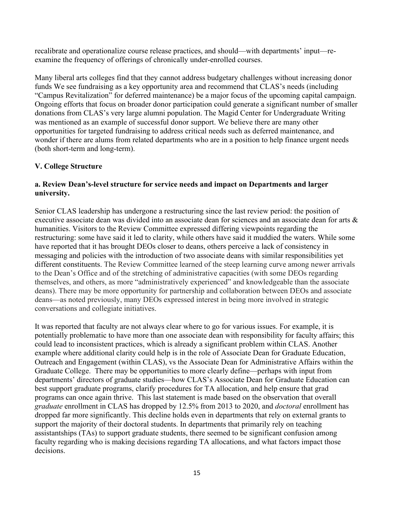recalibrate and operationalize course release practices, and should—with departments' input—reexamine the frequency of offerings of chronically under-enrolled courses.

Many liberal arts colleges find that they cannot address budgetary challenges without increasing donor funds We see fundraising as a key opportunity area and recommend that CLAS's needs (including "Campus Revitalization" for deferred maintenance) be a major focus of the upcoming capital campaign. Ongoing efforts that focus on broader donor participation could generate a significant number of smaller donations from CLAS's very large alumni population. The Magid Center for Undergraduate Writing was mentioned as an example of successful donor support. We believe there are many other opportunities for targeted fundraising to address critical needs such as deferred maintenance, and wonder if there are alums from related departments who are in a position to help finance urgent needs (both short-term and long-term).

# **V. College Structure**

### **a. Review Dean's-level structure for service needs and impact on Departments and larger university.**

Senior CLAS leadership has undergone a restructuring since the last review period: the position of executive associate dean was divided into an associate dean for sciences and an associate dean for arts & humanities. Visitors to the Review Committee expressed differing viewpoints regarding the restructuring: some have said it led to clarity, while others have said it muddied the waters. While some have reported that it has brought DEOs closer to deans, others perceive a lack of consistency in messaging and policies with the introduction of two associate deans with similar responsibilities yet different constituents. The Review Committee learned of the steep learning curve among newer arrivals to the Dean's Office and of the stretching of administrative capacities (with some DEOs regarding themselves, and others, as more "administratively experienced" and knowledgeable than the associate deans). There may be more opportunity for partnership and collaboration between DEOs and associate deans—as noted previously, many DEOs expressed interest in being more involved in strategic conversations and collegiate initiatives.

It was reported that faculty are not always clear where to go for various issues. For example, it is potentially problematic to have more than one associate dean with responsibility for faculty affairs; this could lead to inconsistent practices, which is already a significant problem within CLAS. Another example where additional clarity could help is in the role of Associate Dean for Graduate Education, Outreach and Engagement (within CLAS), vs the Associate Dean for Administrative Affairs within the Graduate College. There may be opportunities to more clearly define—perhaps with input from departments' directors of graduate studies—how CLAS's Associate Dean for Graduate Education can best support graduate programs, clarify procedures for TA allocation, and help ensure that grad programs can once again thrive. This last statement is made based on the observation that overall *graduate* enrollment in CLAS has dropped by 12.5% from 2013 to 2020, and *doctoral* enrollment has dropped far more significantly. This decline holds even in departments that rely on external grants to support the majority of their doctoral students. In departments that primarily rely on teaching assistantships (TAs) to support graduate students, there seemed to be significant confusion among faculty regarding who is making decisions regarding TA allocations, and what factors impact those decisions.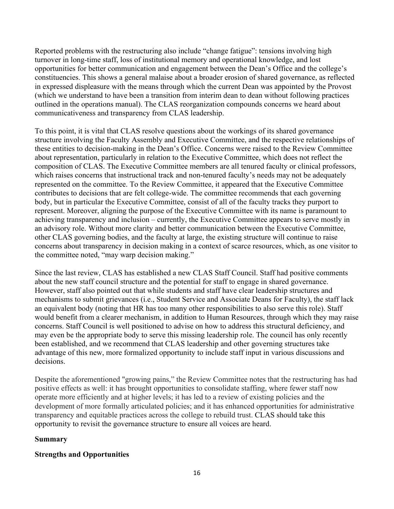Reported problems with the restructuring also include "change fatigue": tensions involving high turnover in long-time staff, loss of institutional memory and operational knowledge, and lost opportunities for better communication and engagement between the Dean's Office and the college's constituencies. This shows a general malaise about a broader erosion of shared governance, as reflected in expressed displeasure with the means through which the current Dean was appointed by the Provost (which we understand to have been a transition from interim dean to dean without following practices outlined in the operations manual). The CLAS reorganization compounds concerns we heard about communicativeness and transparency from CLAS leadership.

To this point, it is vital that CLAS resolve questions about the workings of its shared governance structure involving the Faculty Assembly and Executive Committee, and the respective relationships of these entities to decision-making in the Dean's Office. Concerns were raised to the Review Committee about representation, particularly in relation to the Executive Committee, which does not reflect the composition of CLAS. The Executive Committee members are all tenured faculty or clinical professors, which raises concerns that instructional track and non-tenured faculty's needs may not be adequately represented on the committee. To the Review Committee, it appeared that the Executive Committee contributes to decisions that are felt college-wide. The committee recommends that each governing body, but in particular the Executive Committee, consist of all of the faculty tracks they purport to represent. Moreover, aligning the purpose of the Executive Committee with its name is paramount to achieving transparency and inclusion – currently, the Executive Committee appears to serve mostly in an advisory role. Without more clarity and better communication between the Executive Committee, other CLAS governing bodies, and the faculty at large, the existing structure will continue to raise concerns about transparency in decision making in a context of scarce resources, which, as one visitor to the committee noted, "may warp decision making."

Since the last review, CLAS has established a new CLAS Staff Council. Staff had positive comments about the new staff council structure and the potential for staff to engage in shared governance. However, staff also pointed out that while students and staff have clear leadership structures and mechanisms to submit grievances (i.e., Student Service and Associate Deans for Faculty), the staff lack an equivalent body (noting that HR has too many other responsibilities to also serve this role). Staff would benefit from a clearer mechanism, in addition to Human Resources, through which they may raise concerns. Staff Council is well positioned to advise on how to address this structural deficiency, and may even be the appropriate body to serve this missing leadership role. The council has only recently been established, and we recommend that CLAS leadership and other governing structures take advantage of this new, more formalized opportunity to include staff input in various discussions and decisions.

Despite the aforementioned "growing pains," the Review Committee notes that the restructuring has had positive effects as well: it has brought opportunities to consolidate staffing, where fewer staff now operate more efficiently and at higher levels; it has led to a review of existing policies and the development of more formally articulated policies; and it has enhanced opportunities for administrative transparency and equitable practices across the college to rebuild trust. CLAS should take this opportunity to revisit the governance structure to ensure all voices are heard.

# **Summary**

# **Strengths and Opportunities**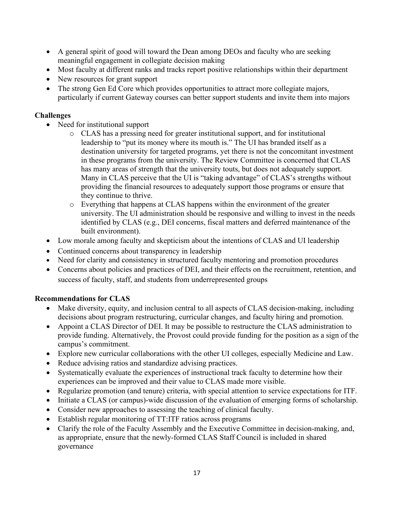- A general spirit of good will toward the Dean among DEOs and faculty who are seeking meaningful engagement in collegiate decision making
- Most faculty at different ranks and tracks report positive relationships within their department
- New resources for grant support
- The strong Gen Ed Core which provides opportunities to attract more collegiate majors, particularly if current Gateway courses can better support students and invite them into majors

# **Challenges**

- Need for institutional support
	- o CLAS has a pressing need for greater institutional support, and for institutional leadership to "put its money where its mouth is." The UI has branded itself as a destination university for targeted programs, yet there is not the concomitant investment in these programs from the university. The Review Committee is concerned that CLAS has many areas of strength that the university touts, but does not adequately support. Many in CLAS perceive that the UI is "taking advantage" of CLAS's strengths without providing the financial resources to adequately support those programs or ensure that they continue to thrive.
	- o Everything that happens at CLAS happens within the environment of the greater university. The UI administration should be responsive and willing to invest in the needs identified by CLAS (e.g., DEI concerns, fiscal matters and deferred maintenance of the built environment).
- Low morale among faculty and skepticism about the intentions of CLAS and UI leadership
- Continued concerns about transparency in leadership
- Need for clarity and consistency in structured faculty mentoring and promotion procedures
- Concerns about policies and practices of DEI, and their effects on the recruitment, retention, and success of faculty, staff, and students from underrepresented groups

# **Recommendations for CLAS**

- Make diversity, equity, and inclusion central to all aspects of CLAS decision-making, including decisions about program restructuring, curricular changes, and faculty hiring and promotion.
- Appoint a CLAS Director of DEI. It may be possible to restructure the CLAS administration to provide funding. Alternatively, the Provost could provide funding for the position as a sign of the campus's commitment.
- Explore new curricular collaborations with the other UI colleges, especially Medicine and Law.
- Reduce advising ratios and standardize advising practices.
- Systematically evaluate the experiences of instructional track faculty to determine how their experiences can be improved and their value to CLAS made more visible.
- Regularize promotion (and tenure) criteria, with special attention to service expectations for ITF.
- Initiate a CLAS (or campus)-wide discussion of the evaluation of emerging forms of scholarship.
- Consider new approaches to assessing the teaching of clinical faculty.
- Establish regular monitoring of TT:ITF ratios across programs
- Clarify the role of the Faculty Assembly and the Executive Committee in decision-making, and, as appropriate, ensure that the newly-formed CLAS Staff Council is included in shared governance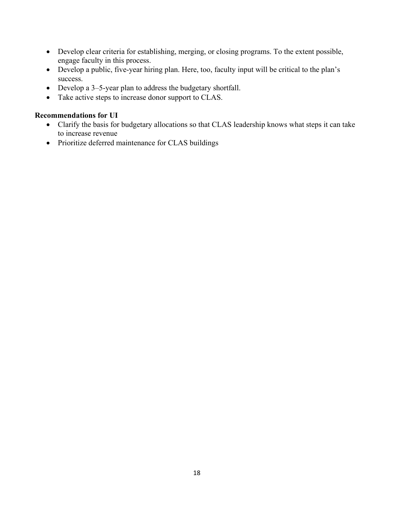- Develop clear criteria for establishing, merging, or closing programs. To the extent possible, engage faculty in this process.
- Develop a public, five-year hiring plan. Here, too, faculty input will be critical to the plan's success.
- Develop a 3–5-year plan to address the budgetary shortfall.
- Take active steps to increase donor support to CLAS.

### **Recommendations for UI**

- Clarify the basis for budgetary allocations so that CLAS leadership knows what steps it can take to increase revenue
- Prioritize deferred maintenance for CLAS buildings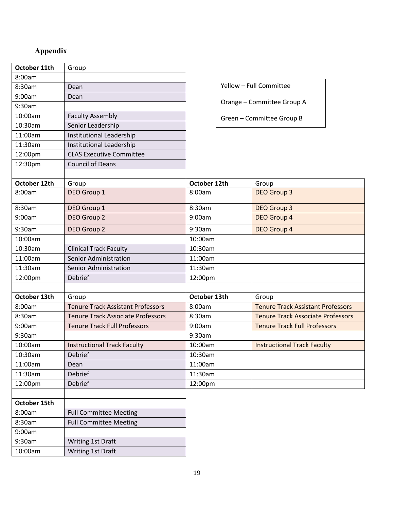# **Appendix**

| October 11th | Group                                    |                         |                                          |
|--------------|------------------------------------------|-------------------------|------------------------------------------|
| 8:00am       |                                          |                         |                                          |
| 8:30am       | Dean                                     | Yellow - Full Committee |                                          |
| 9:00am       | Dean                                     |                         |                                          |
| 9:30am       |                                          |                         | Orange - Committee Group A               |
| 10:00am      | <b>Faculty Assembly</b>                  |                         | Green - Committee Group B                |
| 10:30am      | Senior Leadership                        |                         |                                          |
| 11:00am      | Institutional Leadership                 |                         |                                          |
| 11:30am      | Institutional Leadership                 |                         |                                          |
| 12:00pm      | <b>CLAS Executive Committee</b>          |                         |                                          |
| 12:30pm      | <b>Council of Deans</b>                  |                         |                                          |
|              |                                          |                         |                                          |
| October 12th | Group                                    | October 12th            | Group                                    |
| 8:00am       | DEO Group 1                              | 8:00am                  | <b>DEO Group 3</b>                       |
| 8:30am       | DEO Group 1                              | 8:30am                  | <b>DEO Group 3</b>                       |
| 9:00am       | DEO Group 2                              | 9:00am                  | DEO Group 4                              |
| 9:30am       | DEO Group 2                              | 9:30am                  | DEO Group 4                              |
| 10:00am      |                                          | 10:00am                 |                                          |
| 10:30am      | <b>Clinical Track Faculty</b>            | 10:30am                 |                                          |
| 11:00am      | <b>Senior Administration</b>             | 11:00am                 |                                          |
| 11:30am      | Senior Administration                    | 11:30am                 |                                          |
| 12:00pm      | Debrief                                  | 12:00pm                 |                                          |
|              |                                          |                         |                                          |
| October 13th | Group                                    | October 13th            | Group                                    |
| 8:00am       | <b>Tenure Track Assistant Professors</b> | 8:00am                  | <b>Tenure Track Assistant Professors</b> |
| 8:30am       | <b>Tenure Track Associate Professors</b> | 8:30am                  | <b>Tenure Track Associate Professors</b> |
| 9:00am       | <b>Tenure Track Full Professors</b>      | 9:00am                  | <b>Tenure Track Full Professors</b>      |
| 9:30am       |                                          | 9:30am                  |                                          |
| 10:00am      | <b>Instructional Track Faculty</b>       | 10:00am                 | <b>Instructional Track Faculty</b>       |
| 10:30am      | Debrief                                  | 10:30am                 |                                          |
| 11:00am      | Dean                                     | 11:00am                 |                                          |
| 11:30am      | Debrief                                  | 11:30am                 |                                          |
| 12:00pm      | Debrief                                  | 12:00pm                 |                                          |
|              |                                          |                         |                                          |
| October 15th |                                          |                         |                                          |
| 8:00am       | <b>Full Committee Meeting</b>            |                         |                                          |
| 8:30am       | <b>Full Committee Meeting</b>            |                         |                                          |
| 9:00am       |                                          |                         |                                          |
| 9:30am       | Writing 1st Draft                        |                         |                                          |
| 10:00am      | Writing 1st Draft                        |                         |                                          |